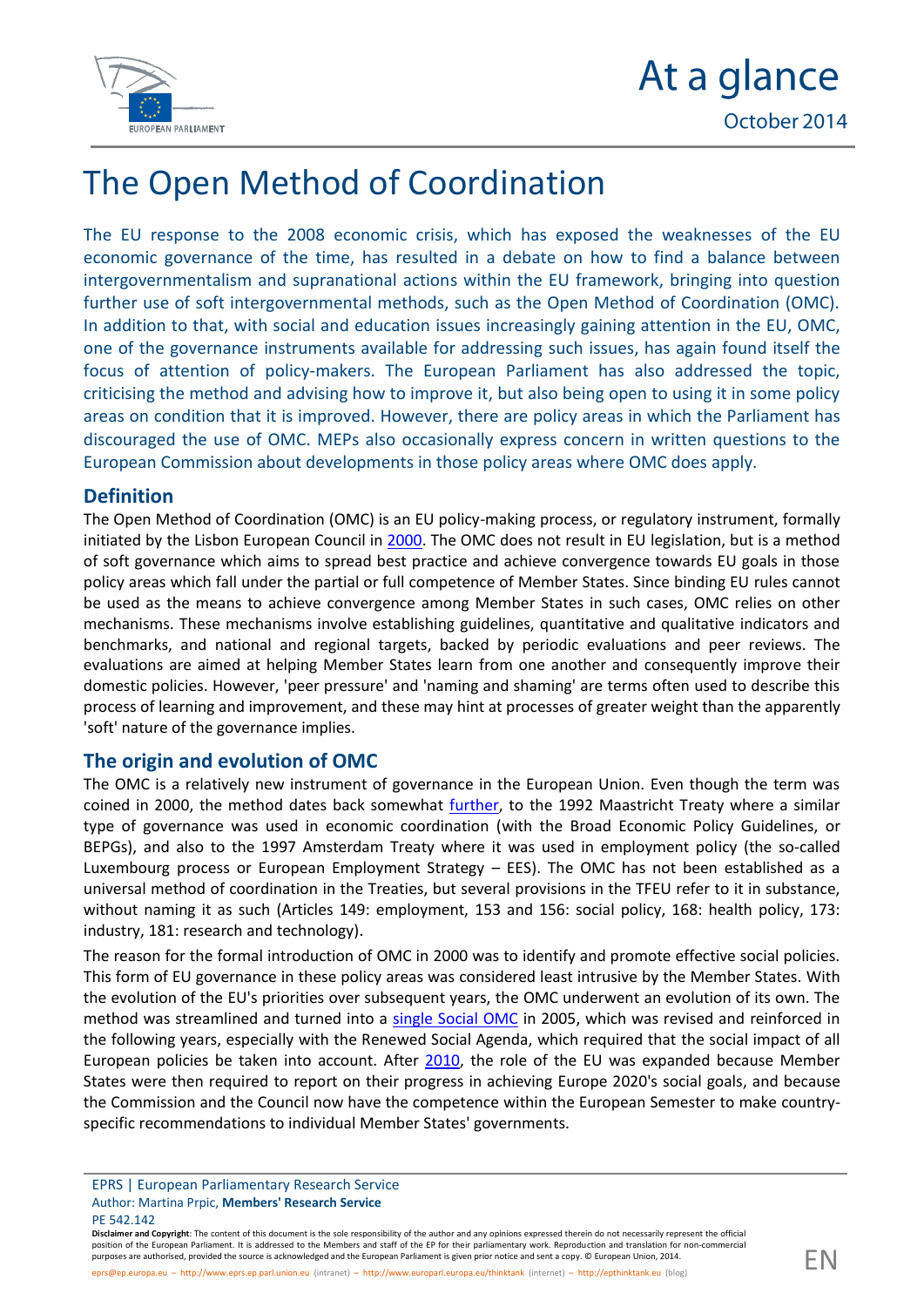

## At a glance October 2014

# The Open Method of Coordination

The EU response to the 2008 economic crisis, which has exposed the weaknesses of the EU economic governance of the time, has resulted in a debate on how to find a balance between intergovernmentalism and supranational actions within the EU framework, bringing into question further use of soft intergovernmental methods, such as the Open Method of Coordination (OMC). In addition to that, with social and education issues increasingly gaining attention in the EU, OMC, one of the governance instruments available for addressing such issues, has again found itself the focus of attention of policy-makers. The European Parliament has also addressed the topic, criticising the method and advising how to improve it, but also being open to using it in some policy areas on condition that it is improved. However, there are policy areas in which the Parliament has discouraged the use of OMC. MEPs also occasionally express concern in written questions to the European Commission about developments in those policy areas where OMC does apply.

### **Definition**

The Open Method of Coordination (OMC) is an EU policy-making process, or regulatory instrument, formally initiated by the Lisbon European Council in [2000.](http://europa.eu/legislation_summaries/glossary/open_method_coordination_en.htm) The OMC does not result in EU legislation, but is a method of soft governance which aims to spread best practice and achieve convergence towards EU goals in those policy areas which fall under the partial or full competence of Member States. Since binding EU rules cannot be used as the means to achieve convergence among Member States in such cases, OMC relies on other mechanisms. These mechanisms involve establishing guidelines, quantitative and qualitative indicators and benchmarks, and national and regional targets, backed by periodic evaluations and peer reviews. The evaluations are aimed at helping Member States learn from one another and consequently improve their domestic policies. However, 'peer pressure' and 'naming and shaming' are terms often used to describe this process of learning and improvement, and these may hint at processes of greater weight than the apparently 'soft' nature of the governance implies.

### **The origin and evolution of OMC**

The OMC is a relatively new instrument of governance in the European Union. Even though the term was coined in 2000, the method dates back somewhat [further,](http://www.ose.be/files/publication/OSEPaperSeries/Lelie_Vanhercke_2013_OseResearchPaper10.pdf) to the 1992 Maastricht Treaty where a similar type of governance was used in economic coordination (with the Broad Economic Policy Guidelines, or BEPGs), and also to the 1997 Amsterdam Treaty where it was used in employment policy (the so-called Luxembourg process or European Employment Strategy – EES). The OMC has not been established as a universal method of coordination in the Treaties, but several provisions in the TFEU refer to it in substance, without naming it as such (Articles 149: employment, 153 and 156: social policy, 168: health policy, 173: industry, 181: research and technology).

The reason for the formal introduction of OMC in 2000 was to identify and promote effective social policies. This form of EU governance in these policy areas was considered least intrusive by the Member States. With the evolution of the EU's priorities over subsequent years, the OMC underwent an evolution of its own. The method was streamlined and turned into a [single Social OMC](http://europa.eu/legislation_summaries/employment_and_social_policy/social_inclusion_fight_against_poverty/em0011_en.htm) in 2005, which was revised and reinforced in the following years, especially with the Renewed Social Agenda, which required that the social impact of all European policies be taken into account. After [2010,](http://www.europarl.europa.eu/RegData/etudes/fiches_techniques/2013/051009/04A_FT(2013)051009_EN.pdf) the role of the EU was expanded because Member States were then required to report on their progress in achieving Europe 2020's social goals, and because the Commission and the Council now have the competence within the European Semester to make countryspecific recommendations to individual Member States' governments.

EPRS | European Parliamentary Research Service Author: Martina Prpic, **Members' Research Service** PE 542.142

**Disclaimer and Copyright**: The content of this document is the sole responsibility of the author and any opinions expressed therein do not necessarily represent the official position of the European Parliament. It is addressed to the Members and staff of the EP for their parliamentary work. Reproduction and translation for non-commercial purposes are authorised, provided the source is acknowledged and the European Parliament is given prior notice and sent a copy. © European Union, 2014.